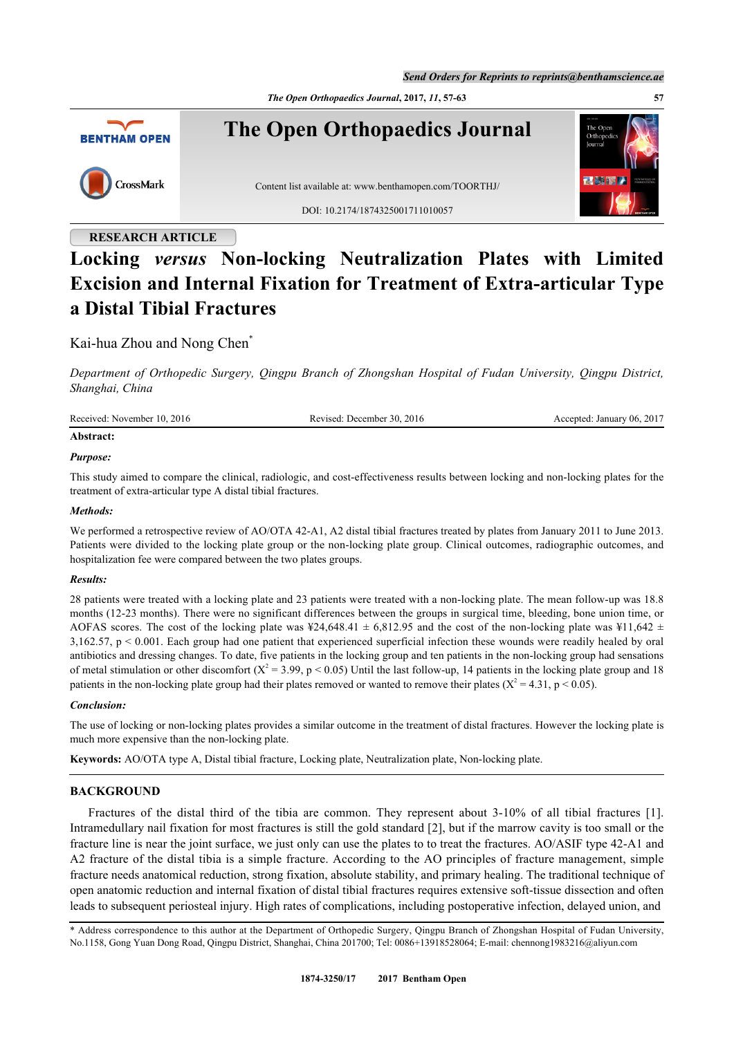*The Open Orthopaedics Journal***, 2017,** *11***, 57-63 57**



### **RESEARCH ARTICLE**

# **Locking** *versus* **Non-locking Neutralization Plates with Limited Excision and Internal Fixation for Treatment of Extra-articular Type a Distal Tibial Fractures**

Kai-hua Zhou and Nong Chen[\\*](#page-0-0)

*Department of Orthopedic Surgery, Qingpu Branch of Zhongshan Hospital of Fudan University, Qingpu District, Shanghai, China*

| Received: November 10, 2016 | Revised: December 30, 2016 | Accepted: January 06, 2017 |
|-----------------------------|----------------------------|----------------------------|
|                             |                            |                            |

## **Abstract:**

#### *Purpose:*

This study aimed to compare the clinical, radiologic, and cost-effectiveness results between locking and non-locking plates for the treatment of extra-articular type A distal tibial fractures.

#### *Methods:*

We performed a retrospective review of AO/OTA 42-A1, A2 distal tibial fractures treated by plates from January 2011 to June 2013. Patients were divided to the locking plate group or the non-locking plate group. Clinical outcomes, radiographic outcomes, and hospitalization fee were compared between the two plates groups.

#### *Results:*

28 patients were treated with a locking plate and 23 patients were treated with a non-locking plate. The mean follow-up was 18.8 months (12-23 months). There were no significant differences between the groups in surgical time, bleeding, bone union time, or AOFAS scores. The cost of the locking plate was  $\frac{424}{648.41} \pm 6,812.95$  and the cost of the non-locking plate was  $\frac{411}{642} \pm 1$  $3,162.57$ ,  $p < 0.001$ . Each group had one patient that experienced superficial infection these wounds were readily healed by oral antibiotics and dressing changes. To date, five patients in the locking group and ten patients in the non-locking group had sensations of metal stimulation or other discomfort  $(X^2 = 3.99, p < 0.05)$  Until the last follow-up, 14 patients in the locking plate group and 18 patients in the non-locking plate group had their plates removed or wanted to remove their plates ( $X^2 = 4.31$ , p < 0.05).

#### *Conclusion:*

The use of locking or non-locking plates provides a similar outcome in the treatment of distal fractures. However the locking plate is much more expensive than the non-locking plate.

**Keywords:** AO/OTA type A, Distal tibial fracture, Locking plate, Neutralization plate, Non-locking plate.

#### **BACKGROUND**

Fractures of the distal third of the tibia are common. They represent about 3-10% of all tibial fractures[[1\]](#page-5-0). Intramedullary nail fixation for most fractures is still the gold standard [\[2\]](#page-5-1), but if the marrow cavity is too small or the fracture line is near the joint surface, we just only can use the plates to to treat the fractures. AO/ASIF type 42-A1 and A2 fracture of the distal tibia is a simple fracture. According to the AO principles of fracture management, simple fracture needs anatomical reduction, strong fixation, absolute stability, and primary healing. The traditional technique of open anatomic reduction and internal fixation of distal tibial fractures requires extensive soft-tissue dissection and often leads to subsequent periosteal injury. High rates of complications, including postoperative infection, delayed union, and

<span id="page-0-0"></span>\* Address correspondence to this author at the Department of Orthopedic Surgery, Qingpu Branch of Zhongshan Hospital of Fudan University, No.1158, Gong Yuan Dong Road, Qingpu District, Shanghai, China 201700; Tel: 0086+13918528064; E-mail: [chennong1983216@aliyun.com](mailto:chennong1983216@aliyun.com)

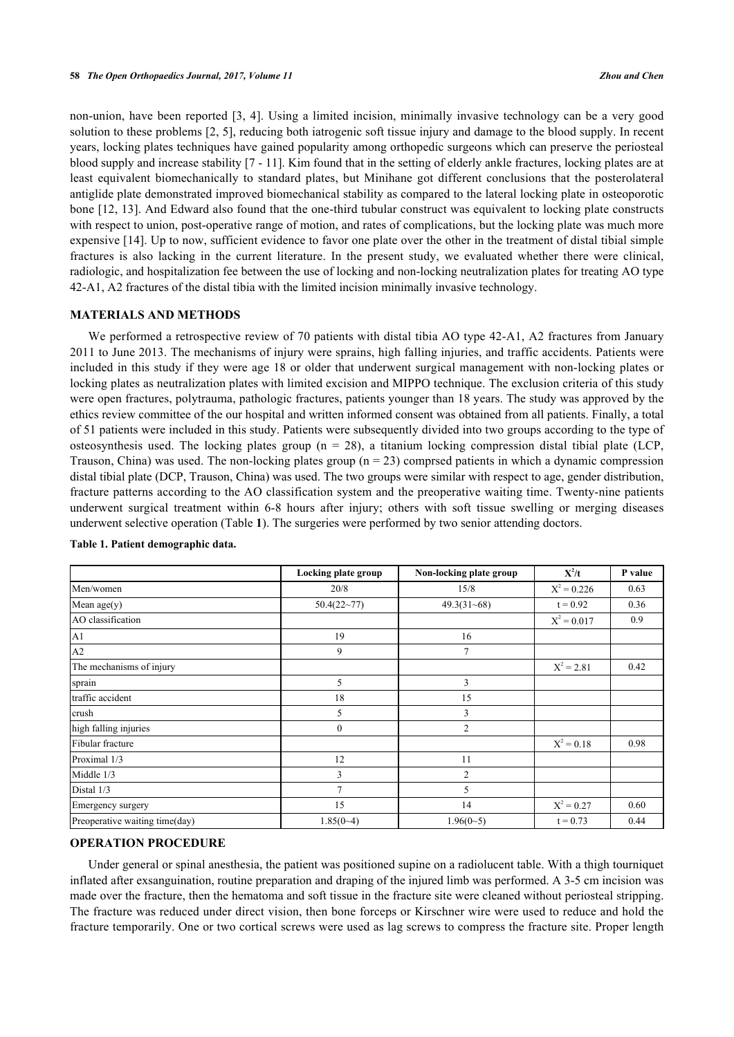non-union, have been reported [[3,](#page-5-2) [4](#page-5-3)]. Using a limited incision, minimally invasive technology can be a very good solution to these problems [\[2](#page-5-1), [5\]](#page-5-4), reducing both iatrogenic soft tissue injury and damage to the blood supply. In recent years, locking plates techniques have gained popularity among orthopedic surgeons which can preserve the periosteal blood supply and increase stability [[7](#page-5-5) - [11\]](#page-5-6). Kim found that in the setting of elderly ankle fractures, locking plates are at least equivalent biomechanically to standard plates, but Minihane got different conclusions that the posterolateral antiglide plate demonstrated improved biomechanical stability as compared to the lateral locking plate in osteoporotic bone [[12](#page-5-7), [13\]](#page-6-0). And Edward also found that the one-third tubular construct was equivalent to locking plate constructs with respect to union, post-operative range of motion, and rates of complications, but the locking plate was much more expensive [\[14\]](#page-6-1). Up to now, sufficient evidence to favor one plate over the other in the treatment of distal tibial simple fractures is also lacking in the current literature. In the present study, we evaluated whether there were clinical, radiologic, and hospitalization fee between the use of locking and non-locking neutralization plates for treating AO type 42-A1, A2 fractures of the distal tibia with the limited incision minimally invasive technology.

#### **MATERIALS AND METHODS**

We performed a retrospective review of 70 patients with distal tibia AO type 42-A1, A2 fractures from January 2011 to June 2013. The mechanisms of injury were sprains, high falling injuries, and traffic accidents. Patients were included in this study if they were age 18 or older that underwent surgical management with non-locking plates or locking plates as neutralization plates with limited excision and MIPPO technique. The exclusion criteria of this study were open fractures, polytrauma, pathologic fractures, patients younger than 18 years. The study was approved by the ethics review committee of the our hospital and written informed consent was obtained from all patients. Finally, a total of 51 patients were included in this study. Patients were subsequently divided into two groups according to the type of osteosynthesis used. The locking plates group ( $n = 28$ ), a titanium locking compression distal tibial plate (LCP, Trauson, China) was used. The non-locking plates group ( $n = 23$ ) comprsed patients in which a dynamic compression distal tibial plate (DCP, Trauson, China) was used. The two groups were similar with respect to age, gender distribution, fracture patterns according to the AO classification system and the preoperative waiting time. Twenty-nine patients underwent surgical treatment within 6-8 hours after injury; others with soft tissue swelling or merging diseases underwent selective operation (Table **[1](#page-1-0)**). The surgeries were performed by two senior attending doctors.

|                                | Locking plate group | Non-locking plate group | $X^2/t$       | P value |
|--------------------------------|---------------------|-------------------------|---------------|---------|
| Men/women                      | 20/8                | 15/8                    | $X^2 = 0.226$ | 0.63    |
| Mean $age(y)$                  | 50.4(22~77)         | $49.3(31-68)$           | $t = 0.92$    | 0.36    |
| AO classification              |                     |                         | $X^2 = 0.017$ |         |
| A <sub>1</sub>                 | 19                  | 16                      |               |         |
| A2                             | 9                   | $\overline{7}$          |               |         |
| The mechanisms of injury       |                     |                         | $X^2 = 2.81$  | 0.42    |
| sprain                         | 5                   | 3                       |               |         |
| traffic accident               | 18                  | 15                      |               |         |
| crush                          | 5                   | 3                       |               |         |
| high falling injuries          | $\mathbf{0}$        | $\overline{2}$          |               |         |
| Fibular fracture               |                     |                         | $X^2 = 0.18$  | 0.98    |
| Proximal 1/3                   | 12                  | 11                      |               |         |
| Middle 1/3                     | 3                   | $\overline{2}$          |               |         |
| Distal 1/3                     | 7                   | 5                       |               |         |
| Emergency surgery              | 15<br>14            |                         | $X^2 = 0.27$  | 0.60    |
| Preoperative waiting time(day) | $1.85(0-4)$         | $1.96(0-5)$             | $t = 0.73$    | 0.44    |

#### <span id="page-1-0"></span>**Table 1. Patient demographic data.**

#### **OPERATION PROCEDURE**

Under general or spinal anesthesia, the patient was positioned supine on a radiolucent table. With a thigh tourniquet inflated after exsanguination, routine preparation and draping of the injured limb was performed. A 3-5 cm incision was made over the fracture, then the hematoma and soft tissue in the fracture site were cleaned without periosteal stripping. The fracture was reduced under direct vision, then bone forceps or Kirschner wire were used to reduce and hold the fracture temporarily. One or two cortical screws were used as lag screws to compress the fracture site. Proper length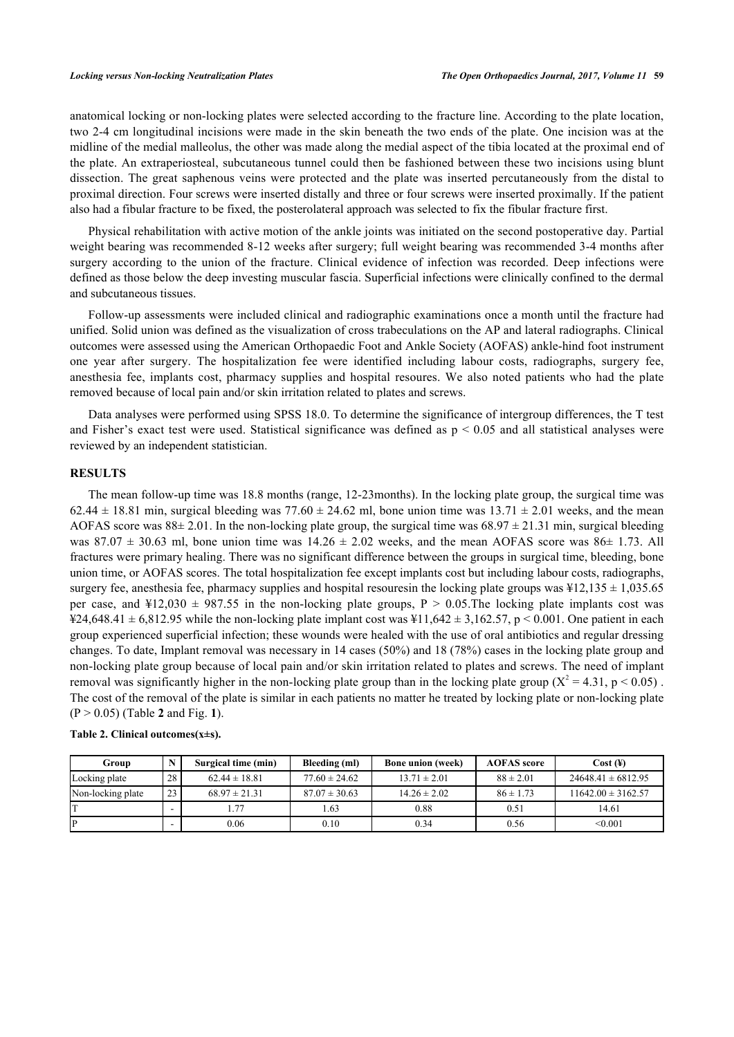anatomical locking or non-locking plates were selected according to the fracture line. According to the plate location, two 2-4 cm longitudinal incisions were made in the skin beneath the two ends of the plate. One incision was at the midline of the medial malleolus, the other was made along the medial aspect of the tibia located at the proximal end of the plate. An extraperiosteal, subcutaneous tunnel could then be fashioned between these two incisions using blunt dissection. The great saphenous veins were protected and the plate was inserted percutaneously from the distal to proximal direction. Four screws were inserted distally and three or four screws were inserted proximally. If the patient also had a fibular fracture to be fixed, the posterolateral approach was selected to fix the fibular fracture first.

Physical rehabilitation with active motion of the ankle joints was initiated on the second postoperative day. Partial weight bearing was recommended 8-12 weeks after surgery; full weight bearing was recommended 3-4 months after surgery according to the union of the fracture. Clinical evidence of infection was recorded. Deep infections were defined as those below the deep investing muscular fascia. Superficial infections were clinically confined to the dermal and subcutaneous tissues.

Follow-up assessments were included clinical and radiographic examinations once a month until the fracture had unified. Solid union was defined as the visualization of cross trabeculations on the AP and lateral radiographs. Clinical outcomes were assessed using the American Orthopaedic Foot and Ankle Society (AOFAS) ankle-hind foot instrument one year after surgery. The hospitalization fee were identified including labour costs, radiographs, surgery fee, anesthesia fee, implants cost, pharmacy supplies and hospital resoures. We also noted patients who had the plate removed because of local pain and/or skin irritation related to plates and screws.

Data analyses were performed using SPSS 18.0. To determine the significance of intergroup differences, the T test and Fisher's exact test were used. Statistical significance was defined as  $p < 0.05$  and all statistical analyses were reviewed by an independent statistician.

#### **RESULTS**

The mean follow-up time was 18.8 months (range, 12-23months). In the locking plate group, the surgical time was 62.44  $\pm$  18.81 min, surgical bleeding was 77.60  $\pm$  24.62 ml, bone union time was 13.71  $\pm$  2.01 weeks, and the mean AOFAS score was  $88\pm 2.01$ . In the non-locking plate group, the surgical time was  $68.97 \pm 21.31$  min, surgical bleeding was 87.07  $\pm$  30.63 ml, bone union time was  $14.26 \pm 2.02$  weeks, and the mean AOFAS score was 86 $\pm$  1.73. All fractures were primary healing. There was no significant difference between the groups in surgical time, bleeding, bone union time, or AOFAS scores. The total hospitalization fee except implants cost but including labour costs, radiographs, surgery fee, anesthesia fee, pharmacy supplies and hospital resoures n the locking plate groups was  $\frac{12,135 \pm 1,035.65}{1,035.65}$ per case, and  $\frac{12,030 \pm 987.55}{10}$  in the non-locking plate groups, P  $> 0.05$ . The locking plate implants cost was  $\text{\textsterling}24,648.41 \pm 6,812.95$  while the non-locking plate implant cost was  $\text{\textsterling}11,642 \pm 3,162.57$ , p < 0.001. One patient in each group experienced superficial infection; these wounds were healed with the use of oral antibiotics and regular dressing changes. To date, Implant removal was necessary in 14 cases (50%) and 18 (78%) cases in the locking plate group and non-locking plate group because of local pain and/or skin irritation related to plates and screws. The need of implant removal was significantly higher in the non-locking plate group than in the locking plate group ( $X^2 = 4.31$ , p < 0.05). The cost of the removal of the plate is similar in each patients no matter he treated by locking plate or non-locking plate (P > 0.05) (Table **[2](#page-2-0)** and Fig. **[1](#page-2-1)**).

<span id="page-2-1"></span>

| Group             |                          | Surgical time (min) | Bleeding (ml)     | <b>Bone union (week)</b> | <b>AOFAS</b> score | Cost (4)               |
|-------------------|--------------------------|---------------------|-------------------|--------------------------|--------------------|------------------------|
| Locking plate     | 28                       | $62.44 \pm 18.81$   | $77.60 \pm 24.62$ | $13.71 \pm 2.01$         | $88 \pm 2.01$      | $24648.41 \pm 6812.95$ |
| Non-locking plate | 23                       | $68.97 \pm 21.31$   | $87.07 \pm 30.63$ | $14.26 \pm 2.02$         | $86 \pm 1.73$      | $11642.00 \pm 3162.57$ |
|                   |                          | 1.77                | 1.63              | 0.88                     | 0.51               | 14.61                  |
| IP                | $\overline{\phantom{0}}$ | 0.06                | 0.10              | 0.34                     | 0.56               | < 0.001                |

#### <span id="page-2-0"></span>**Table 2. Clinical outcomes(x±s).**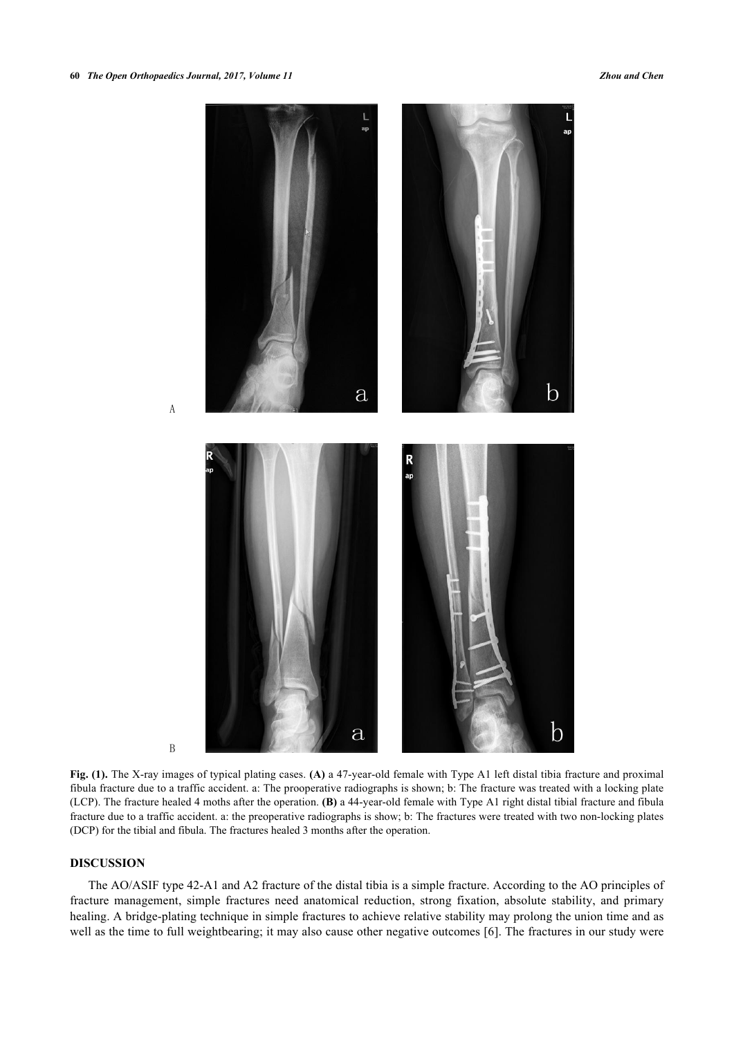

B

A

**Fig. (1).** The X-ray images of typical plating cases. **(A)** a 47-year-old female with Type A1 left distal tibia fracture and proximal fibula fracture due to a traffic accident. a: The prooperative radiographs is shown; b: The fracture was treated with a locking plate (LCP). The fracture healed 4 moths after the operation. **(B)** a 44-year-old female with Type A1 right distal tibial fracture and fibula fracture due to a traffic accident. a: the preoperative radiographs is show; b: The fractures were treated with two non-locking plates (DCP) for the tibial and fibula. The fractures healed 3 months after the operation.

#### **DISCUSSION**

The AO/ASIF type 42-A1 and A2 fracture of the distal tibia is a simple fracture. According to the AO principles of fracture management, simple fractures need anatomical reduction, strong fixation, absolute stability, and primary healing. A bridge-plating technique in simple fractures to achieve relative stability may prolong the union time and as well as the time to full weightbearing; it may also cause other negative outcomes [[6](#page-5-8)]. The fractures in our study were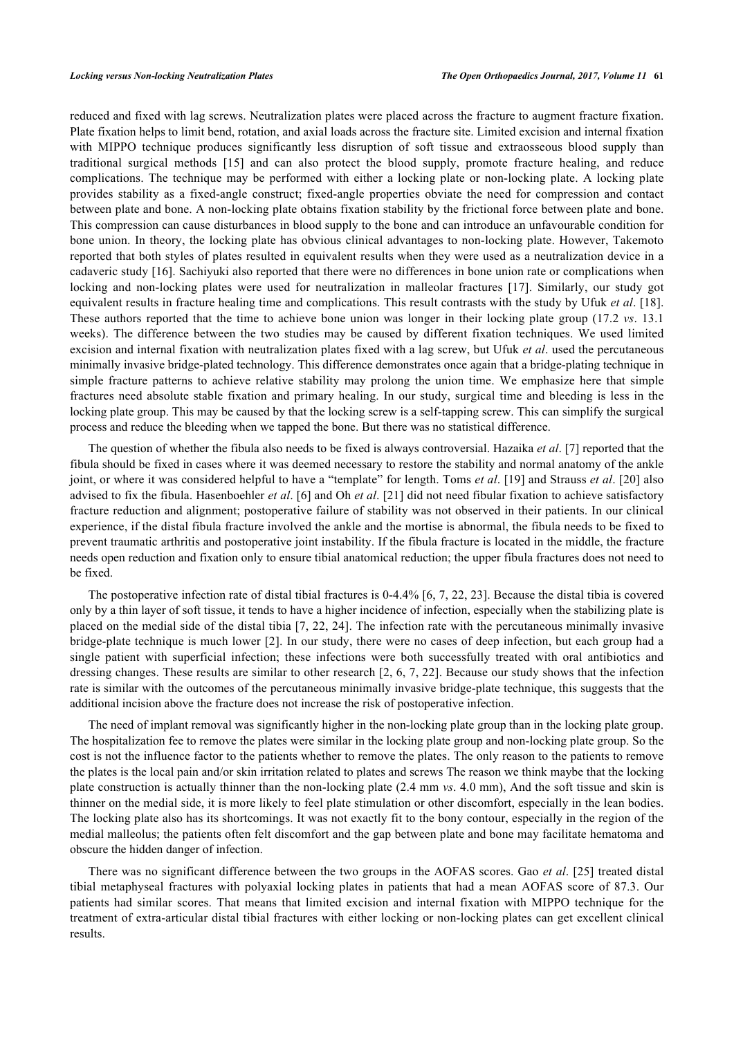reduced and fixed with lag screws. Neutralization plates were placed across the fracture to augment fracture fixation. Plate fixation helps to limit bend, rotation, and axial loads across the fracture site. Limited excision and internal fixation with MIPPO technique produces significantly less disruption of soft tissue and extraosseous blood supply than traditional surgical methods [\[15\]](#page-6-2) and can also protect the blood supply, promote fracture healing, and reduce complications. The technique may be performed with either a locking plate or non-locking plate. A locking plate provides stability as a fixed-angle construct; fixed-angle properties obviate the need for compression and contact between plate and bone. A non-locking plate obtains fixation stability by the frictional force between plate and bone. This compression can cause disturbances in blood supply to the bone and can introduce an unfavourable condition for bone union. In theory, the locking plate has obvious clinical advantages to non-locking plate. However, Takemoto reported that both styles of plates resulted in equivalent results when they were used as a neutralization device in a cadaveric study [[16\]](#page-6-3). Sachiyuki also reported that there were no differences in bone union rate or complications when locking and non-locking plates were used for neutralization in malleolar fractures[[17\]](#page-6-4). Similarly, our study got equivalent results in fracture healing time and complications. This result contrasts with the study by Ufuk *et al*. [\[18\]](#page-6-5). These authors reported that the time to achieve bone union was longer in their locking plate group (17.2 *vs*. 13.1 weeks). The difference between the two studies may be caused by different fixation techniques. We used limited excision and internal fixation with neutralization plates fixed with a lag screw, but Ufuk *et al*. used the percutaneous minimally invasive bridge-plated technology. This difference demonstrates once again that a bridge-plating technique in simple fracture patterns to achieve relative stability may prolong the union time. We emphasize here that simple fractures need absolute stable fixation and primary healing. In our study, surgical time and bleeding is less in the locking plate group. This may be caused by that the locking screw is a self-tapping screw. This can simplify the surgical process and reduce the bleeding when we tapped the bone. But there was no statistical difference.

The question of whether the fibula also needs to be fixed is always controversial. Hazaika *et al*. [[7\]](#page-5-5) reported that the fibula should be fixed in cases where it was deemed necessary to restore the stability and normal anatomy of the ankle joint, or where it was considered helpful to have a "template" for length. Toms *et al*. [\[19\]](#page-6-6) and Strauss *et al*. [[20\]](#page-6-7) also advised to fix the fibula. Hasenboehler *et al*. [[6](#page-5-8)] and Oh *et al*. [\[21](#page-6-8)] did not need fibular fixation to achieve satisfactory fracture reduction and alignment; postoperative failure of stability was not observed in their patients. In our clinical experience, if the distal fibula fracture involved the ankle and the mortise is abnormal, the fibula needs to be fixed to prevent traumatic arthritis and postoperative joint instability. If the fibula fracture is located in the middle, the fracture needs open reduction and fixation only to ensure tibial anatomical reduction; the upper fibula fractures does not need to be fixed.

The postoperative infection rate of distal tibial fractures is 0-4.4% [[6](#page-5-8), [7](#page-5-5), [22,](#page-6-9) [23\]](#page-6-10). Because the distal tibia is covered only by a thin layer of soft tissue, it tends to have a higher incidence of infection, especially when the stabilizing plate is placed on the medial side of the distal tibia [[7](#page-5-5), [22,](#page-6-9) [24\]](#page-6-11). The infection rate with the percutaneous minimally invasive bridge-plate technique is much lower [\[2](#page-5-1)]. In our study, there were no cases of deep infection, but each group had a single patient with superficial infection; these infections were both successfully treated with oral antibiotics and dressing changes. These results are similar to other research [[2](#page-5-1), [6,](#page-5-8) [7](#page-5-5), [22\]](#page-6-9). Because our study shows that the infection rate is similar with the outcomes of the percutaneous minimally invasive bridge-plate technique, this suggests that the additional incision above the fracture does not increase the risk of postoperative infection.

The need of implant removal was significantly higher in the non-locking plate group than in the locking plate group. The hospitalization fee to remove the plates were similar in the locking plate group and non-locking plate group. So the cost is not the influence factor to the patients whether to remove the plates. The only reason to the patients to remove the plates is the local pain and/or skin irritation related to plates and screws The reason we think maybe that the locking plate construction is actually thinner than the non-locking plate (2.4 mm *vs*. 4.0 mm), And the soft tissue and skin is thinner on the medial side, it is more likely to feel plate stimulation or other discomfort, especially in the lean bodies. The locking plate also has its shortcomings. It was not exactly fit to the bony contour, especially in the region of the medial malleolus; the patients often felt discomfort and the gap between plate and bone may facilitate hematoma and obscure the hidden danger of infection.

There was no significant difference between the two groups in the AOFAS scores. Gao *et al*. [\[25\]](#page-6-12) treated distal tibial metaphyseal fractures with polyaxial locking plates in patients that had a mean AOFAS score of 87.3. Our patients had similar scores. That means that limited excision and internal fixation with MIPPO technique for the treatment of extra-articular distal tibial fractures with either locking or non-locking plates can get excellent clinical results.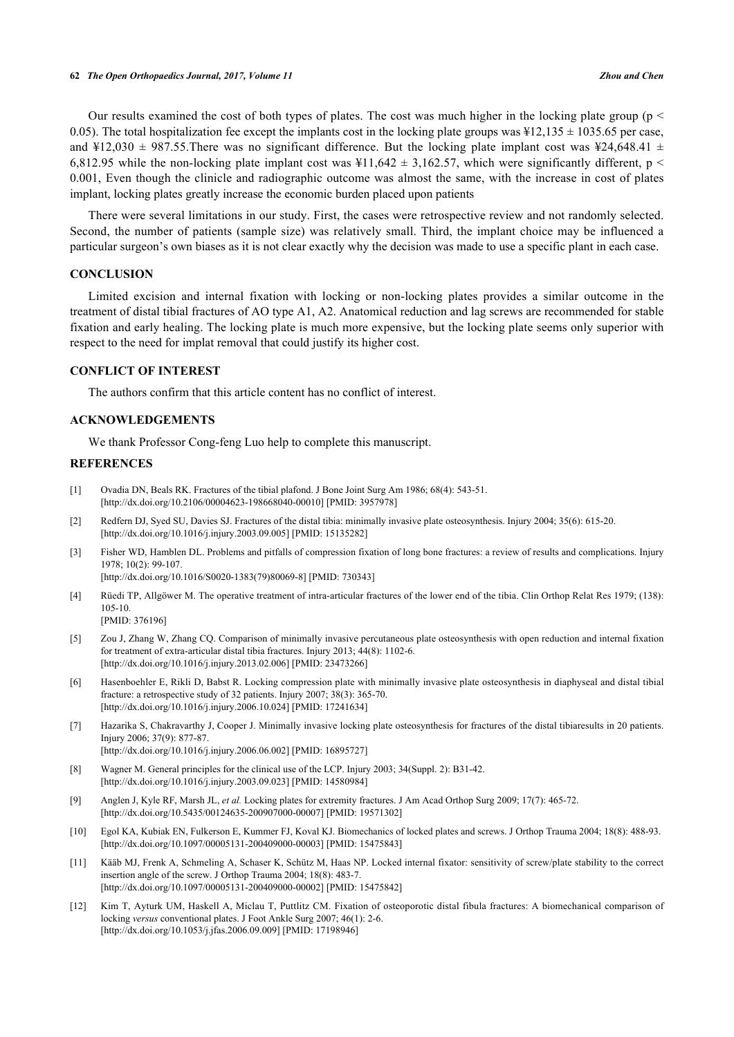Our results examined the cost of both types of plates. The cost was much higher in the locking plate group ( $p <$ 0.05). The total hospitalization fee except the implants cost in the locking plate groups was  $\frac{12,135 \pm 1035.65}{10,000}$  per case, and ¥12,030  $\pm$  987.55. There was no significant difference. But the locking plate implant cost was ¥24,648.41  $\pm$ 6,812.95 while the non-locking plate implant cost was  $\frac{11,642 \pm 3,162.57}{1,642.57}$ , which were significantly different, p < 0.001, Even though the clinicle and radiographic outcome was almost the same, with the increase in cost of plates implant, locking plates greatly increase the economic burden placed upon patients

There were several limitations in our study. First, the cases were retrospective review and not randomly selected. Second, the number of patients (sample size) was relatively small. Third, the implant choice may be influenced a particular surgeon's own biases as it is not clear exactly why the decision was made to use a specific plant in each case.

#### **CONCLUSION**

Limited excision and internal fixation with locking or non-locking plates provides a similar outcome in the treatment of distal tibial fractures of AO type A1, A2. Anatomical reduction and lag screws are recommended for stable fixation and early healing. The locking plate is much more expensive, but the locking plate seems only superior with respect to the need for implat removal that could justify its higher cost.

#### **CONFLICT OF INTEREST**

The authors confirm that this article content has no conflict of interest.

#### **ACKNOWLEDGEMENTS**

We thank Professor Cong-feng Luo help to complete this manuscript.

#### **REFERENCES**

- <span id="page-5-0"></span>[1] Ovadia DN, Beals RK. Fractures of the tibial plafond. J Bone Joint Surg Am 1986; 68(4): 543-51. [\[http://dx.doi.org/10.2106/00004623-198668040-00010](http://dx.doi.org/10.2106/00004623-198668040-00010)] [PMID: [3957978\]](http://www.ncbi.nlm.nih.gov/pubmed/3957978)
- <span id="page-5-1"></span>[2] Redfern DJ, Syed SU, Davies SJ. Fractures of the distal tibia: minimally invasive plate osteosynthesis. Injury 2004; 35(6): 615-20. [\[http://dx.doi.org/10.1016/j.injury.2003.09.005](http://dx.doi.org/10.1016/j.injury.2003.09.005)] [PMID: [15135282\]](http://www.ncbi.nlm.nih.gov/pubmed/15135282)
- <span id="page-5-2"></span>[3] Fisher WD, Hamblen DL. Problems and pitfalls of compression fixation of long bone fractures: a review of results and complications. Injury 1978; 10(2): 99-107.

[\[http://dx.doi.org/10.1016/S0020-1383\(79\)80069-8\]](http://dx.doi.org/10.1016/S0020-1383(79)80069-8) [PMID: [730343](http://www.ncbi.nlm.nih.gov/pubmed/730343)]

- <span id="page-5-3"></span>[4] Rüedi TP, Allgöwer M. The operative treatment of intra-articular fractures of the lower end of the tibia. Clin Orthop Relat Res 1979; (138): 105-10.
	- [PMID: [376196\]](http://www.ncbi.nlm.nih.gov/pubmed/376196)
- <span id="page-5-4"></span>[5] Zou J, Zhang W, Zhang CQ. Comparison of minimally invasive percutaneous plate osteosynthesis with open reduction and internal fixation for treatment of extra-articular distal tibia fractures. Injury 2013; 44(8): 1102-6. [\[http://dx.doi.org/10.1016/j.injury.2013.02.006](http://dx.doi.org/10.1016/j.injury.2013.02.006)] [PMID: [23473266\]](http://www.ncbi.nlm.nih.gov/pubmed/23473266)
- <span id="page-5-8"></span>[6] Hasenboehler E, Rikli D, Babst R. Locking compression plate with minimally invasive plate osteosynthesis in diaphyseal and distal tibial fracture: a retrospective study of 32 patients. Injury 2007; 38(3): 365-70. [\[http://dx.doi.org/10.1016/j.injury.2006.10.024](http://dx.doi.org/10.1016/j.injury.2006.10.024)] [PMID: [17241634\]](http://www.ncbi.nlm.nih.gov/pubmed/17241634)
- <span id="page-5-5"></span>[7] Hazarika S, Chakravarthy J, Cooper J. Minimally invasive locking plate osteosynthesis for fractures of the distal tibiaresults in 20 patients. Injury 2006; 37(9): 877-87. [\[http://dx.doi.org/10.1016/j.injury.2006.06.002](http://dx.doi.org/10.1016/j.injury.2006.06.002)] [PMID: [16895727\]](http://www.ncbi.nlm.nih.gov/pubmed/16895727)
- [8] Wagner M. General principles for the clinical use of the LCP. Injury 2003; 34(Suppl. 2): B31-42. [\[http://dx.doi.org/10.1016/j.injury.2003.09.023](http://dx.doi.org/10.1016/j.injury.2003.09.023)] [PMID: [14580984\]](http://www.ncbi.nlm.nih.gov/pubmed/14580984)
- [9] Anglen J, Kyle RF, Marsh JL, *et al.* Locking plates for extremity fractures. J Am Acad Orthop Surg 2009; 17(7): 465-72. [\[http://dx.doi.org/10.5435/00124635-200907000-00007](http://dx.doi.org/10.5435/00124635-200907000-00007)] [PMID: [19571302\]](http://www.ncbi.nlm.nih.gov/pubmed/19571302)
- [10] Egol KA, Kubiak EN, Fulkerson E, Kummer FJ, Koval KJ. Biomechanics of locked plates and screws. J Orthop Trauma 2004; 18(8): 488-93. [\[http://dx.doi.org/10.1097/00005131-200409000-00003](http://dx.doi.org/10.1097/00005131-200409000-00003)] [PMID: [15475843\]](http://www.ncbi.nlm.nih.gov/pubmed/15475843)
- <span id="page-5-6"></span>[11] Kääb MJ, Frenk A, Schmeling A, Schaser K, Schütz M, Haas NP. Locked internal fixator: sensitivity of screw/plate stability to the correct insertion angle of the screw. J Orthop Trauma 2004; 18(8): 483-7. [\[http://dx.doi.org/10.1097/00005131-200409000-00002](http://dx.doi.org/10.1097/00005131-200409000-00002)] [PMID: [15475842\]](http://www.ncbi.nlm.nih.gov/pubmed/15475842)
- <span id="page-5-7"></span>[12] Kim T, Ayturk UM, Haskell A, Miclau T, Puttlitz CM. Fixation of osteoporotic distal fibula fractures: A biomechanical comparison of locking *versus* conventional plates. J Foot Ankle Surg 2007; 46(1): 2-6. [\[http://dx.doi.org/10.1053/j.jfas.2006.09.009\]](http://dx.doi.org/10.1053/j.jfas.2006.09.009) [PMID: [17198946](http://www.ncbi.nlm.nih.gov/pubmed/17198946)]